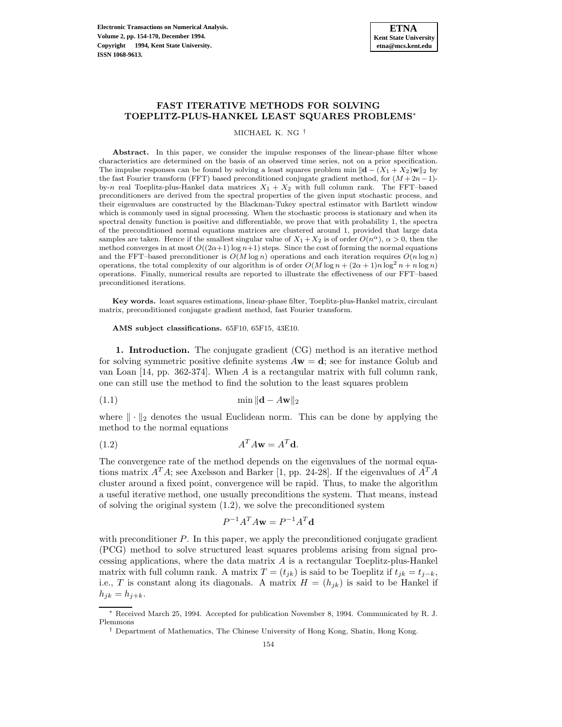# **FAST ITERATIVE METHODS FOR SOLVING TOEPLITZ-PLUS-HANKEL LEAST SQUARES PROBLEMS**<sup>∗</sup>

MICHAEL K. NG †

Abstract. In this paper, we consider the impulse responses of the linear-phase filter whose characteristics are determined on the basis of an observed time series, not on a prior specification. The impulse responses can be found by solving a least squares problem min  $\|\mathbf{d} - (X_1 + X_2)\mathbf{w}\|_2$  by the fast Fourier transform (FFT) based preconditioned conjugate gradient method, for  $(M + 2n - 1)$ by-n real Toeplitz-plus-Hankel data matrices  $X_1 + X_2$  with full column rank. The FFT–based preconditioners are derived from the spectral properties of the given input stochastic process, and their eigenvalues are constructed by the Blackman-Tukey spectral estimator with Bartlett window which is commonly used in signal processing. When the stochastic process is stationary and when its spectral density function is positive and differentiable, we prove that with probability 1, the spectra of the preconditioned normal equations matrices are clustered around 1, provided that large data samples are taken. Hence if the smallest singular value of  $X_1 + X_2$  is of order  $O(n^{\alpha})$ ,  $\alpha > 0$ , then the method converges in at most  $O((2\alpha+1)\log n+1)$  steps. Since the cost of forming the normal equations and the FFT–based preconditioner is  $O(M \log n)$  operations and each iteration requires  $O(n \log n)$ operations, the total complexity of our algorithm is of order  $O(M \log n + (2\alpha + 1)n \log^2 n + n \log n)$ operations. Finally, numerical results are reported to illustrate the effectiveness of our FFT–based preconditioned iterations.

**Key words.** least squares estimations, linear-phase filter, Toeplitz-plus-Hankel matrix, circulant matrix, preconditioned conjugate gradient method, fast Fourier transform.

**AMS subject classifications.** 65F10, 65F15, 43E10.

**1. Introduction.** The conjugate gradient (CG) method is an iterative method for solving symmetric positive definite systems A**w** = **d**; see for instance Golub and van Loan [14, pp. 362-374]. When A is a rectangular matrix with full column rank, one can still use the method to find the solution to the least squares problem

$$
\min \|\mathbf{d} - A\mathbf{w}\|_2
$$

where  $\|\cdot\|_2$  denotes the usual Euclidean norm. This can be done by applying the method to the normal equations

$$
(1.2) \t\t\t AT Aw = ATd.
$$

The convergence rate of the method depends on the eigenvalues of the normal equations matrix  $A^T A$ ; see Axelsson and Barker [1, pp. 24-28]. If the eigenvalues of  $A^T A$ cluster around a fixed point, convergence will be rapid. Thus, to make the algorithm a useful iterative method, one usually preconditions the system. That means, instead of solving the original system (1.2), we solve the preconditioned system

$$
P^{-1}A^T A \mathbf{w} = P^{-1}A^T \mathbf{d}
$$

with preconditioner  $P$ . In this paper, we apply the preconditioned conjugate gradient (PCG) method to solve structured least squares problems arising from signal processing applications, where the data matrix A is a rectangular Toeplitz-plus-Hankel matrix with full column rank. A matrix  $T = (t_{jk})$  is said to be Toeplitz if  $t_{jk} = t_{j-k}$ , i.e., T is constant along its diagonals. A matrix  $H = (h_{ik})$  is said to be Hankel if  $h_{jk} = h_{j+k}.$ 

<sup>∗</sup> Received March 25, 1994. Accepted for publication November 8, 1994. Communicated by R. J. Plemmons

<sup>†</sup> Department of Mathematics, The Chinese University of Hong Kong, Shatin, Hong Kong.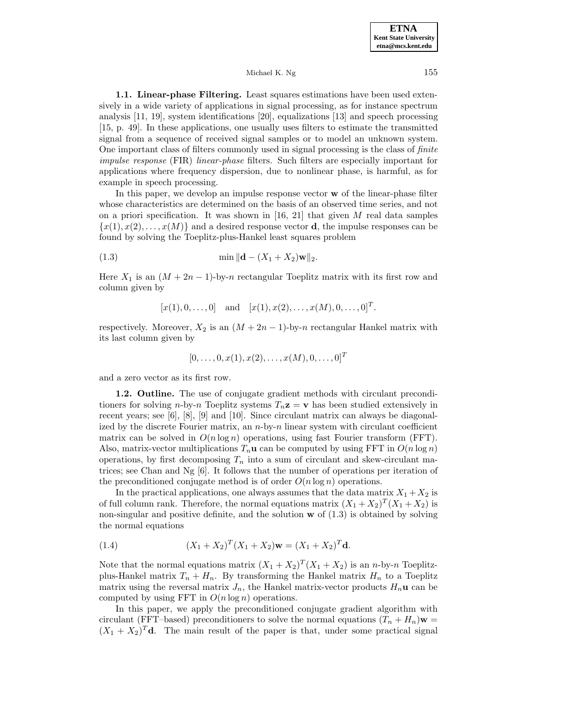**1.1. Linear-phase Filtering.** Least squares estimations have been used extensively in a wide variety of applications in signal processing, as for instance spectrum analysis [11, 19], system identifications [20], equalizations [13] and speech processing [15, p. 49]. In these applications, one usually uses filters to estimate the transmitted signal from a sequence of received signal samples or to model an unknown system. One important class of filters commonly used in signal processing is the class of finite impulse response (FIR) linear-phase filters. Such filters are especially important for applications where frequency dispersion, due to nonlinear phase, is harmful, as for example in speech processing.

In this paper, we develop an impulse response vector **w** of the linear-phase filter whose characteristics are determined on the basis of an observed time series, and not on a priori specification. It was shown in [16, 21] that given M real data samples  ${x(1), x(2), \ldots, x(M)}$  and a desired response vector **d**, the impulse responses can be found by solving the Toeplitz-plus-Hankel least squares problem

(1.3) 
$$
\min \| \mathbf{d} - (X_1 + X_2) \mathbf{w} \|_2.
$$

Here  $X_1$  is an  $(M + 2n - 1)$ -by-n rectangular Toeplitz matrix with its first row and column given by

$$
[x(1), 0, \ldots, 0]
$$
 and  $[x(1), x(2), \ldots, x(M), 0, \ldots, 0]^T$ .

respectively. Moreover,  $X_2$  is an  $(M + 2n - 1)$ -by-n rectangular Hankel matrix with its last column given by

$$
[0, \ldots, 0, x(1), x(2), \ldots, x(M), 0, \ldots, 0]^T
$$

and a zero vector as its first row.

**1.2. Outline.** The use of conjugate gradient methods with circulant preconditioners for solving n-by-n Toeplitz systems  $T_n \mathbf{z} = \mathbf{v}$  has been studied extensively in recent years; see [6], [8], [9] and [10]. Since circulant matrix can always be diagonalized by the discrete Fourier matrix, an  $n$ -by-n linear system with circulant coefficient matrix can be solved in  $O(n \log n)$  operations, using fast Fourier transform (FFT). Also, matrix-vector multiplications  $T_n$ **u** can be computed by using FFT in  $O(n \log n)$ operations, by first decomposing  $T_n$  into a sum of circulant and skew-circulant matrices; see Chan and Ng [6]. It follows that the number of operations per iteration of the preconditioned conjugate method is of order  $O(n \log n)$  operations.

In the practical applications, one always assumes that the data matrix  $X_1 + X_2$  is of full column rank. Therefore, the normal equations matrix  $(X_1 + X_2)^T (X_1 + X_2)$  is non-singular and positive definite, and the solution **w** of (1.3) is obtained by solving the normal equations

(1.4) 
$$
(X_1 + X_2)^T (X_1 + X_2) \mathbf{w} = (X_1 + X_2)^T \mathbf{d}.
$$

Note that the normal equations matrix  $(X_1 + X_2)^T (X_1 + X_2)$  is an n-by-n Toeplitzplus-Hankel matrix  $T_n + H_n$ . By transforming the Hankel matrix  $H_n$  to a Toeplitz matrix using the reversal matrix  $J_n$ , the Hankel matrix-vector products  $H_n$ **u** can be computed by using FFT in  $O(n \log n)$  operations.

In this paper, we apply the preconditioned conjugate gradient algorithm with circulant (FFT–based) preconditioners to solve the normal equations  $(T_n + H_n)\mathbf{w} =$  $(X_1 + X_2)^T$ **d**. The main result of the paper is that, under some practical signal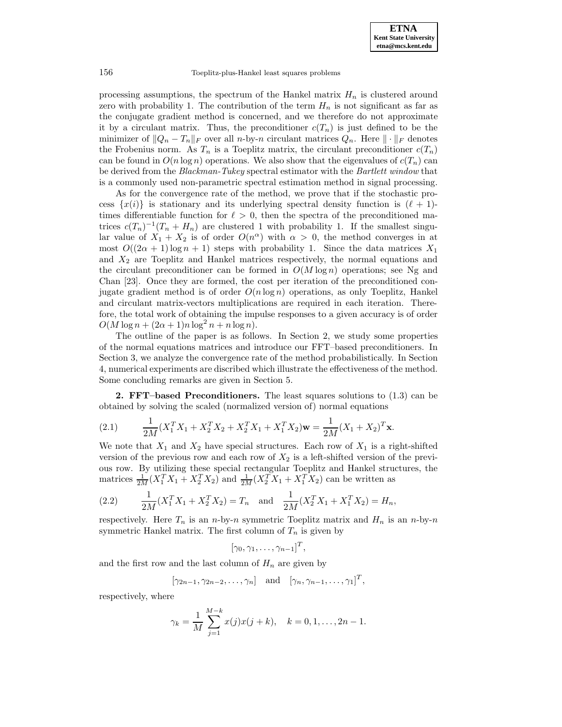processing assumptions, the spectrum of the Hankel matrix  $H_n$  is clustered around zero with probability 1. The contribution of the term  $H_n$  is not significant as far as the conjugate gradient method is concerned, and we therefore do not approximate it by a circulant matrix. Thus, the preconditioner  $c(T_n)$  is just defined to be the minimizer of  $||Q_n - T_n||_F$  over all n-by-n circulant matrices  $Q_n$ . Here  $|| \cdot ||_F$  denotes the Frobenius norm. As  $T_n$  is a Toeplitz matrix, the circulant preconditioner  $c(T_n)$ can be found in  $O(n \log n)$  operations. We also show that the eigenvalues of  $c(T_n)$  can be derived from the Blackman-Tukey spectral estimator with the Bartlett window that is a commonly used non-parametric spectral estimation method in signal processing.

As for the convergence rate of the method, we prove that if the stochastic process  $\{x(i)\}\$ is stationary and its underlying spectral density function is  $(\ell + 1)$ times differentiable function for  $\ell > 0$ , then the spectra of the preconditioned matrices  $c(T_n)^{-1}(T_n + H_n)$  are clustered 1 with probability 1. If the smallest singular value of  $X_1 + X_2$  is of order  $O(n^{\alpha})$  with  $\alpha > 0$ , the method converges in at most  $O((2\alpha + 1)\log n + 1)$  steps with probability 1. Since the data matrices  $X_1$ and  $X_2$  are Toeplitz and Hankel matrices respectively, the normal equations and the circulant preconditioner can be formed in  $O(M \log n)$  operations; see Ng and Chan [23]. Once they are formed, the cost per iteration of the preconditioned conjugate gradient method is of order  $O(n \log n)$  operations, as only Toeplitz, Hankel and circulant matrix-vectors multiplications are required in each iteration. Therefore, the total work of obtaining the impulse responses to a given accuracy is of order  $O(M \log n + (2\alpha + 1)n \log^2 n + n \log n).$ 

The outline of the paper is as follows. In Section 2, we study some properties of the normal equations matrices and introduce our FFT–based preconditioners. In Section 3, we analyze the convergence rate of the method probabilistically. In Section 4, numerical experiments are discribed which illustrate the effectiveness of the method. Some concluding remarks are given in Section 5.

**2. FFT–based Preconditioners.** The least squares solutions to (1.3) can be obtained by solving the scaled (normalized version of) normal equations

(2.1) 
$$
\frac{1}{2M}(X_1^T X_1 + X_2^T X_2 + X_2^T X_1 + X_1^T X_2)\mathbf{w} = \frac{1}{2M}(X_1 + X_2)^T \mathbf{x}.
$$

We note that  $X_1$  and  $X_2$  have special structures. Each row of  $X_1$  is a right-shifted version of the previous row and each row of  $X_2$  is a left-shifted version of the previous row. By utilizing these special rectangular Toeplitz and Hankel structures, the matrices  $\frac{1}{2M}(X_1^T X_1 + X_2^T X_2)$  and  $\frac{1}{2M}(X_2^T X_1 + X_1^T X_2)$  can be written as

(2.2) 
$$
\frac{1}{2M}(X_1^T X_1 + X_2^T X_2) = T_n \text{ and } \frac{1}{2M}(X_2^T X_1 + X_1^T X_2) = H_n,
$$

respectively. Here  $T_n$  is an *n*-by-*n* symmetric Toeplitz matrix and  $H_n$  is an *n*-by-*n* symmetric Hankel matrix. The first column of  $T_n$  is given by

$$
[\gamma_0, \gamma_1, \ldots, \gamma_{n-1}]^T,
$$

and the first row and the last column of  $H_n$  are given by

$$
[\gamma_{2n-1}, \gamma_{2n-2}, \ldots, \gamma_n]
$$
 and  $[\gamma_n, \gamma_{n-1}, \ldots, \gamma_1]^T$ ,

respectively, where

$$
\gamma_k = \frac{1}{M} \sum_{j=1}^{M-k} x(j)x(j+k), \quad k = 0, 1, \dots, 2n-1.
$$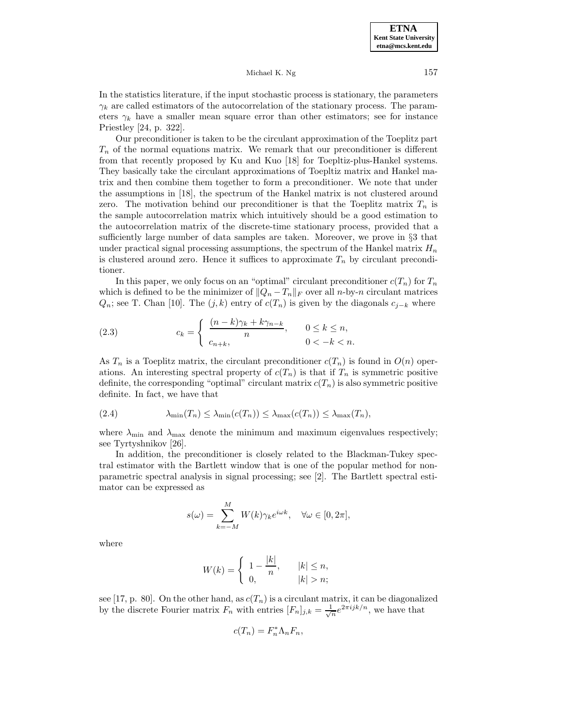In the statistics literature, if the input stochastic process is stationary, the parameters  $\gamma_k$  are called estimators of the autocorrelation of the stationary process. The parameters  $\gamma_k$  have a smaller mean square error than other estimators; see for instance Priestley [24, p. 322].

Our preconditioner is taken to be the circulant approximation of the Toeplitz part  $T_n$  of the normal equations matrix. We remark that our preconditioner is different from that recently proposed by Ku and Kuo [18] for Toepltiz-plus-Hankel systems. They basically take the circulant approximations of Toepltiz matrix and Hankel matrix and then combine them together to form a preconditioner. We note that under the assumptions in [18], the spectrum of the Hankel matrix is not clustered around zero. The motivation behind our preconditioner is that the Toeplitz matrix  $T_n$  is the sample autocorrelation matrix which intuitively should be a good estimation to the autocorrelation matrix of the discrete-time stationary process, provided that a sufficiently large number of data samples are taken. Moreover, we prove in §3 that under practical signal processing assumptions, the spectrum of the Hankel matrix  $H_n$ is clustered around zero. Hence it suffices to approximate  $T_n$  by circulant preconditioner.

In this paper, we only focus on an "optimal" circulant preconditioner  $c(T_n)$  for  $T_n$ which is defined to be the minimizer of  $||Q_n - T_n||_F$  over all n-by-n circulant matrices  $Q_n$ ; see T. Chan [10]. The  $(j,k)$  entry of  $c(T_n)$  is given by the diagonals  $c_{j-k}$  where

(2.3) 
$$
c_k = \begin{cases} \frac{(n-k)\gamma_k + k\gamma_{n-k}}{n}, & 0 \le k \le n, \\ c_{n+k}, & 0 < -k < n. \end{cases}
$$

As  $T_n$  is a Toeplitz matrix, the circulant preconditioner  $c(T_n)$  is found in  $O(n)$  operations. An interesting spectral property of  $c(T_n)$  is that if  $T_n$  is symmetric positive definite, the corresponding "optimal" circulant matrix  $c(T_n)$  is also symmetric positive definite. In fact, we have that

(2.4) 
$$
\lambda_{\min}(T_n) \leq \lambda_{\min}(c(T_n)) \leq \lambda_{\max}(c(T_n)) \leq \lambda_{\max}(T_n),
$$

where  $\lambda_{\min}$  and  $\lambda_{\max}$  denote the minimum and maximum eigenvalues respectively; see Tyrtyshnikov [26].

In addition, the preconditioner is closely related to the Blackman-Tukey spectral estimator with the Bartlett window that is one of the popular method for nonparametric spectral analysis in signal processing; see [2]. The Bartlett spectral estimator can be expressed as

$$
s(\omega) = \sum_{k=-M}^{M} W(k)\gamma_k e^{i\omega k}, \quad \forall \omega \in [0, 2\pi],
$$

where

$$
W(k) = \begin{cases} 1 - \frac{|k|}{n}, & |k| \le n, \\ 0, & |k| > n; \end{cases}
$$

see [17, p. 80]. On the other hand, as  $c(T_n)$  is a circulant matrix, it can be diagonalized by the discrete Fourier matrix  $F_n$  with entries  $[F_n]_{j,k} = \frac{1}{\sqrt{n}} e^{2\pi i j k/n}$ , we have that

$$
c(T_n) = F_n^* \Lambda_n F_n,
$$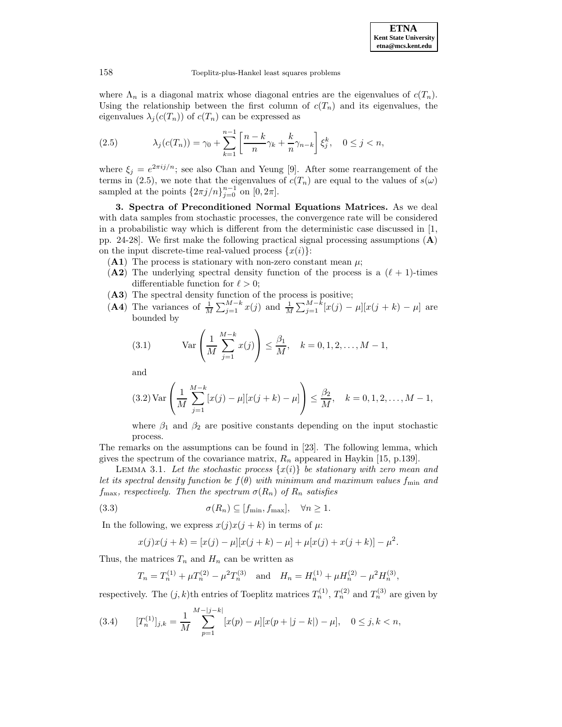

where  $\Lambda_n$  is a diagonal matrix whose diagonal entries are the eigenvalues of  $c(T_n)$ . Using the relationship between the first column of  $c(T_n)$  and its eigenvalues, the eigenvalues  $\lambda_i(c(T_n))$  of  $c(T_n)$  can be expressed as

(2.5) 
$$
\lambda_j(c(T_n)) = \gamma_0 + \sum_{k=1}^{n-1} \left[ \frac{n-k}{n} \gamma_k + \frac{k}{n} \gamma_{n-k} \right] \xi_j^k, \quad 0 \le j < n,
$$

where  $\xi_i = e^{2\pi i j/n}$ ; see also Chan and Yeung [9]. After some rearrangement of the terms in (2.5), we note that the eigenvalues of  $c(T_n)$  are equal to the values of  $s(\omega)$ sampled at the points  $\{2\pi j/n\}_{j=0}^{n-1}$  on  $[0, 2\pi]$ .

**3. Spectra of Preconditioned Normal Equations Matrices.** As we deal with data samples from stochastic processes, the convergence rate will be considered in a probabilistic way which is different from the deterministic case discussed in  $|1$ , pp. 24-28]. We first make the following practical signal processing assumptions (**A**) on the input discrete-time real-valued process  $\{x(i)\}$ :

- (A1) The process is stationary with non-zero constant mean  $\mu$ ;
- (A2) The underlying spectral density function of the process is a  $(\ell + 1)$ -times differentiable function for  $\ell > 0$ ;
- (**A3**) The spectral density function of the process is positive;
- (A4) The variances of  $\frac{1}{M} \sum_{j=1}^{M-k} x(j)$  and  $\frac{1}{M} \sum_{j=1}^{M-k} [x(j) \mu][x(j+k) \mu]$  are bounded by

(3.1) 
$$
\text{Var}\left(\frac{1}{M}\sum_{j=1}^{M-k}x(j)\right) \leq \frac{\beta_1}{M}, \quad k = 0, 1, 2, \dots, M-1,
$$

and

$$
(3.2)\operatorname{Var}\left(\frac{1}{M}\sum_{j=1}^{M-k} [x(j) - \mu][x(j+k) - \mu]\right) \le \frac{\beta_2}{M}, \quad k = 0, 1, 2, \dots, M - 1,
$$

where  $\beta_1$  and  $\beta_2$  are positive constants depending on the input stochastic process.

The remarks on the assumptions can be found in [23]. The following lemma, which gives the spectrum of the covariance matrix,  $R_n$  appeared in Haykin [15, p.139].

LEMMA 3.1. Let the stochastic process  $\{x(i)\}\$ be stationary with zero mean and let its spectral density function be  $f(\theta)$  with minimum and maximum values f<sub>min</sub> and  $f_{\text{max}}$ , respectively. Then the spectrum  $\sigma(R_n)$  of  $R_n$  satisfies

(3.3) 
$$
\sigma(R_n) \subseteq [f_{\min}, f_{\max}], \quad \forall n \ge 1.
$$

In the following, we express  $x(j)x(j + k)$  in terms of  $\mu$ :

$$
x(j)x(j+k) = [x(j) - \mu][x(j+k) - \mu] + \mu[x(j) + x(j+k)] - \mu^{2}.
$$

Thus, the matrices  $T_n$  and  $H_n$  can be written as

$$
T_n = T_n^{(1)} + \mu T_n^{(2)} - \mu^2 T_n^{(3)}
$$
 and  $H_n = H_n^{(1)} + \mu H_n^{(2)} - \mu^2 H_n^{(3)}$ ,

respectively. The  $(j, k)$ th entries of Toeplitz matrices  $T_n^{(1)}$ ,  $T_n^{(2)}$  and  $T_n^{(3)}$  are given by

(3.4) 
$$
[T_n^{(1)}]_{j,k} = \frac{1}{M} \sum_{p=1}^{M-|j-k|} [x(p) - \mu][x(p+|j-k]) - \mu], \quad 0 \le j,k < n,
$$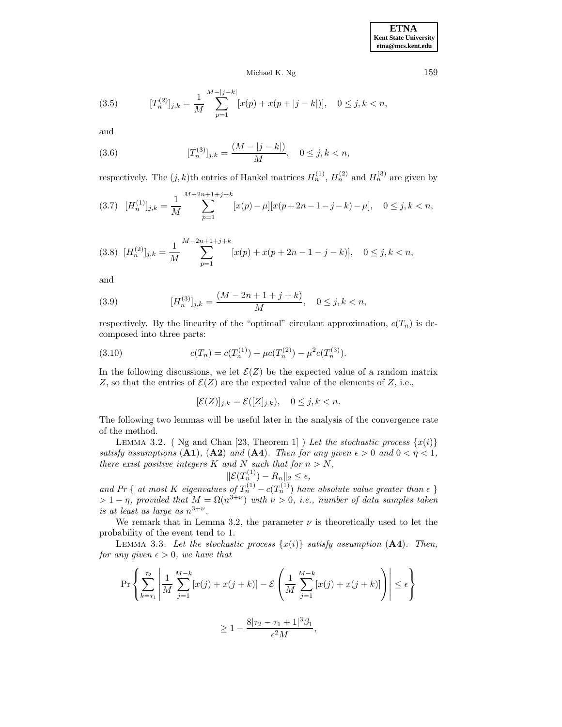(3.5) 
$$
[T_n^{(2)}]_{j,k} = \frac{1}{M} \sum_{p=1}^{M-|j-k|} [x(p) + x(p+|j-k|)], \quad 0 \le j,k < n,
$$

and

(3.6) 
$$
[T_n^{(3)}]_{j,k} = \frac{(M - |j - k|)}{M}, \quad 0 \le j, k < n,
$$

respectively. The  $(j, k)$ th entries of Hankel matrices  $H_n^{(1)}$ ,  $H_n^{(2)}$  and  $H_n^{(3)}$  are given by

$$
(3.7) \quad [H_n^{(1)}]_{j,k} = \frac{1}{M} \sum_{p=1}^{M-2n+1+j+k} [x(p) - \mu][x(p+2n-1-j-k) - \mu], \quad 0 \le j,k < n,
$$

$$
(3.8)\ \ [H_n^{(2)}]_{j,k} = \frac{1}{M} \sum_{p=1}^{M-2n+1+j+k} [x(p) + x(p+2n-1-j-k)], \quad 0 \le j,k < n,
$$

and

(3.9) 
$$
[H_n^{(3)}]_{j,k} = \frac{(M-2n+1+j+k)}{M}, \quad 0 \le j,k < n,
$$

respectively. By the linearity of the "optimal" circulant approximation,  $c(T_n)$  is decomposed into three parts:

(3.10) 
$$
c(T_n) = c(T_n^{(1)}) + \mu c(T_n^{(2)}) - \mu^2 c(T_n^{(3)}).
$$

In the following discussions, we let  $\mathcal{E}(Z)$  be the expected value of a random matrix Z, so that the entries of  $\mathcal{E}(Z)$  are the expected value of the elements of Z, i.e.,

$$
[\mathcal{E}(Z)]_{j,k} = \mathcal{E}([Z]_{j,k}), \quad 0 \le j,k < n.
$$

The following two lemmas will be useful later in the analysis of the convergence rate of the method.

LEMMA 3.2. ( Ng and Chan [23, Theorem 1] ) Let the stochastic process  $\{x(i)\}$ satisfy assumptions (**A1**), (**A2**) and (**A4**). Then for any given  $\epsilon > 0$  and  $0 < \eta < 1$ , there exist positive integers K and N such that for  $n>N$ ,

$$
\|\mathcal{E}(T_n^{(1)}) - R_n\|_2 \le \epsilon,
$$

and Pr { at most K eigenvalues of  $T_n^{(1)} - c(T_n^{(1)})$  have absolute value greater than  $\epsilon$  }  $> 1 - \eta$ , provided that  $M = \Omega(n^{3+\nu})$  with  $\nu > 0$ , i.e., number of data samples taken is at least as large as  $n^{3+\nu}$ .

We remark that in Lemma 3.2, the parameter  $\nu$  is theoretically used to let the probability of the event tend to 1.

LEMMA 3.3. Let the stochastic process  $\{x(i)\}$  satisfy assumption  $(A4)$ . Then, for any given  $\epsilon > 0$ , we have that

$$
\Pr\left\{\sum_{k=\tau_1}^{\tau_2} \left| \frac{1}{M} \sum_{j=1}^{M-k} [x(j) + x(j+k)] - \mathcal{E}\left(\frac{1}{M} \sum_{j=1}^{M-k} [x(j) + x(j+k)]\right) \right| \le \epsilon\right\}
$$

$$
\ge 1 - \frac{8|\tau_2 - \tau_1 + 1|^3 \beta_1}{\epsilon^2 M},
$$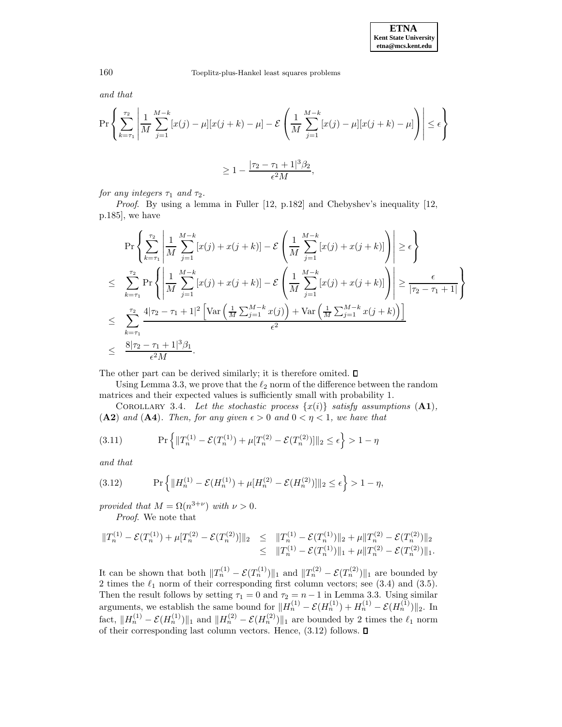and that

$$
\Pr\left\{\sum_{k=\tau_1}^{\tau_2} \left| \frac{1}{M} \sum_{j=1}^{M-k} [x(j) - \mu][x(j+k) - \mu] - \mathcal{E}\left(\frac{1}{M} \sum_{j=1}^{M-k} [x(j) - \mu][x(j+k) - \mu]\right) \right| \le \epsilon\right\}
$$
  

$$
\ge 1 - \frac{|\tau_2 - \tau_1 + 1|^3 \beta_2}{\epsilon^2 M},
$$

for any integers  $\tau_1$  and  $\tau_2$ .

Proof. By using a lemma in Fuller [12, p.182] and Chebyshev's inequality [12, p.185], we have

$$
\Pr\left\{\sum_{k=\tau_{1}}^{\tau_{2}}\left|\frac{1}{M}\sum_{j=1}^{M-k}[x(j) + x(j+k)] - \mathcal{E}\left(\frac{1}{M}\sum_{j=1}^{M-k}[x(j) + x(j+k)]\right)\right| \geq \epsilon\right\}
$$
\n
$$
\leq \sum_{k=\tau_{1}}^{\tau_{2}} \Pr\left\{\left|\frac{1}{M}\sum_{j=1}^{M-k}[x(j) + x(j+k)] - \mathcal{E}\left(\frac{1}{M}\sum_{j=1}^{M-k}[x(j) + x(j+k)]\right)\right| \geq \frac{\epsilon}{|\tau_{2} - \tau_{1} + 1|}\right\}
$$
\n
$$
\leq \sum_{k=\tau_{1}}^{\tau_{2}} \frac{4|\tau_{2} - \tau_{1} + 1|^{2}\left[\text{Var}\left(\frac{1}{M}\sum_{j=1}^{M-k}x(j)\right) + \text{Var}\left(\frac{1}{M}\sum_{j=1}^{M-k}x(j+k)\right)\right]}{\epsilon^{2}}
$$
\n
$$
\leq \frac{8|\tau_{2} - \tau_{1} + 1|^{3}\beta_{1}}{\epsilon^{2}M}.
$$

The other part can be derived similarly; it is therefore omited.  $\square$ 

Using Lemma 3.3, we prove that the  $\ell_2$  norm of the difference between the random matrices and their expected values is sufficiently small with probability 1.

COROLLARY 3.4. Let the stochastic process  $\{x(i)\}$  satisfy assumptions  $(A1)$ , (A2) and (A4). Then, for any given  $\epsilon > 0$  and  $0 < \eta < 1$ , we have that

(3.11) 
$$
\Pr\left\{||T_n^{(1)} - \mathcal{E}(T_n^{(1)}) + \mu[T_n^{(2)} - \mathcal{E}(T_n^{(2)})]||_2 \le \epsilon\right\} > 1 - \eta
$$

and that

(3.12) 
$$
\Pr\left\{\|H_n^{(1)} - \mathcal{E}(H_n^{(1)}) + \mu[H_n^{(2)} - \mathcal{E}(H_n^{(2)})]\|_2 \le \epsilon\right\} > 1 - \eta,
$$

provided that  $M = \Omega(n^{3+\nu})$  with  $\nu > 0$ . Proof. We note that

 $||T_n^{(1)} - \mathcal{E}(T_n^{(1)}) + \mu[T_n^{(2)} - \mathcal{E}(T_n^{(2)})]||_2 \le ||T_n^{(1)} - \mathcal{E}(T_n^{(1)})||_2 + \mu||T_n^{(2)} - \mathcal{E}(T_n^{(2)})||_2$  $\leq \|T_n^{(1)} - \mathcal{E}(T_n^{(1)})\|_1 + \mu \|T_n^{(2)} - \mathcal{E}(T_n^{(2)})\|_1.$ 

It can be shown that both  $||T_n^{(1)} - \mathcal{E}(T_n^{(1)})||_1$  and  $||T_n^{(2)} - \mathcal{E}(T_n^{(2)})||_1$  are bounded by 2 times the  $\ell_1$  norm of their corresponding first column vectors; see (3.4) and (3.5). Then the result follows by setting  $\tau_1 = 0$  and  $\tau_2 = n - 1$  in Lemma 3.3. Using similar arguments, we establish the same bound for  $||H_n^{(1)} - \mathcal{E}(H_n^{(1)}) + H_n^{(1)} - \mathcal{E}(H_n^{(1)})||_2$ . In fact,  $||H_n^{(1)} - \mathcal{E}(H_n^{(1)})||_1$  and  $||H_n^{(2)} - \mathcal{E}(H_n^{(2)})||_1$  are bounded by 2 times the  $\ell_1$  norm of their corresponding last column vectors. Hence,  $(3.12)$  follows.  $\square$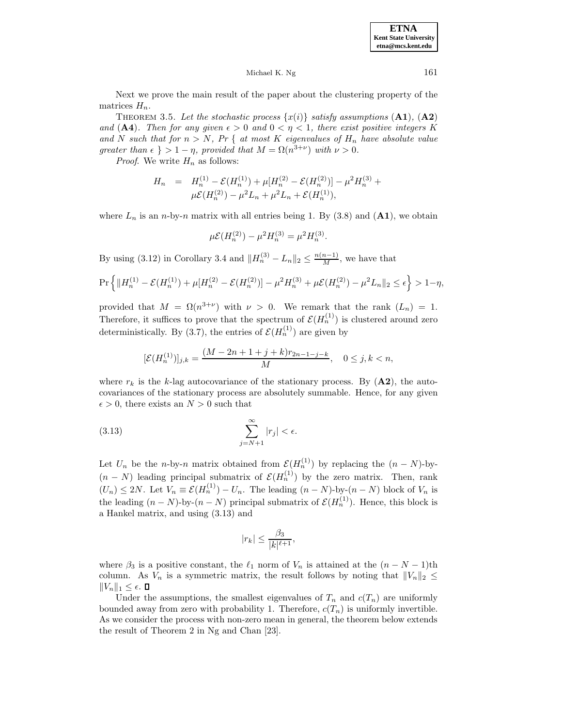**ETNA Kent State University etna@mcs.kent.edu**

Michael K. Ng  $161$ 

Next we prove the main result of the paper about the clustering property of the matrices  $H_n$ .

THEOREM 3.5. Let the stochastic process  $\{x(i)\}\$  satisfy assumptions  $(A1)$ ,  $(A2)$ and (A4). Then for any given  $\epsilon > 0$  and  $0 < \eta < 1$ , there exist positive integers K and N such that for  $n>N$ , Pr { at most K eigenvalues of  $H_n$  have absolute value greater than  $\epsilon \} > 1 - \eta$ , provided that  $M = \Omega(n^{3+\nu})$  with  $\nu > 0$ .

*Proof.* We write  $H_n$  as follows:

$$
H_n = H_n^{(1)} - \mathcal{E}(H_n^{(1)}) + \mu[H_n^{(2)} - \mathcal{E}(H_n^{(2)})] - \mu^2 H_n^{(3)} + \mu \mathcal{E}(H_n^{(2)}) - \mu^2 L_n + \mu^2 L_n + \mathcal{E}(H_n^{(1)}),
$$

where  $L_n$  is an *n*-by-*n* matrix with all entries being 1. By (3.8) and (A1), we obtain

$$
\mu \mathcal{E}(H_n^{(2)}) - \mu^2 H_n^{(3)} = \mu^2 H_n^{(3)}.
$$

By using (3.12) in Corollary 3.4 and  $||H_n^{(3)} - L_n||_2 \le \frac{n(n-1)}{M}$ , we have that

$$
\Pr\left\{\|H_n^{(1)} - \mathcal{E}(H_n^{(1)}) + \mu[H_n^{(2)} - \mathcal{E}(H_n^{(2)})] - \mu^2 H_n^{(3)} + \mu \mathcal{E}(H_n^{(2)}) - \mu^2 L_n\|_2 \le \epsilon\right\} > 1 - \eta,
$$

provided that  $M = \Omega(n^{3+\nu})$  with  $\nu > 0$ . We remark that the rank  $(L_n) = 1$ . Therefore, it suffices to prove that the spectrum of  $\mathcal{E}(H_n^{(1)})$  is clustered around zero deterministically. By (3.7), the entries of  $\mathcal{E}(H_n^{(1)})$  are given by

$$
[\mathcal{E}(H_n^{(1)})]_{j,k} = \frac{(M - 2n + 1 + j + k)r_{2n-1-j-k}}{M}, \quad 0 \le j, k < n,
$$

where  $r_k$  is the k-lag autocovariance of the stationary process. By  $(\mathbf{A2})$ , the autocovariances of the stationary process are absolutely summable. Hence, for any given  $\epsilon > 0$ , there exists an  $N > 0$  such that

$$
\sum_{j=N+1}^{\infty} |r_j| < \epsilon.
$$

Let  $U_n$  be the *n*-by-*n* matrix obtained from  $\mathcal{E}(H_n^{(1)})$  by replacing the  $(n-N)$ -by- $(n - N)$  leading principal submatrix of  $\mathcal{E}(H_n^{(1)})$  by the zero matrix. Then, rank  $(U_n) \leq 2N$ . Let  $V_n \equiv \mathcal{E}(H_n^{(1)}) - U_n$ . The leading  $(n-N)$ -by- $(n-N)$  block of  $V_n$  is the leading  $(n-N)$ -by- $(n-N)$  principal submatrix of  $\mathcal{E}(H_n^{(1)})$ . Hence, this block is a Hankel matrix, and using (3.13) and

$$
|r_k|\leq \frac{\beta_3}{|k|^{\ell+1}},
$$

where  $\beta_3$  is a positive constant, the  $\ell_1$  norm of  $V_n$  is attained at the  $(n - N - 1)$ th column. As  $V_n$  is a symmetric matrix, the result follows by noting that  $||V_n||_2 \leq$  $||V_n||_1 \leq \epsilon$ .  $\Box$ 

Under the assumptions, the smallest eigenvalues of  $T_n$  and  $c(T_n)$  are uniformly bounded away from zero with probability 1. Therefore,  $c(T_n)$  is uniformly invertible. As we consider the process with non-zero mean in general, the theorem below extends the result of Theorem 2 in Ng and Chan [23].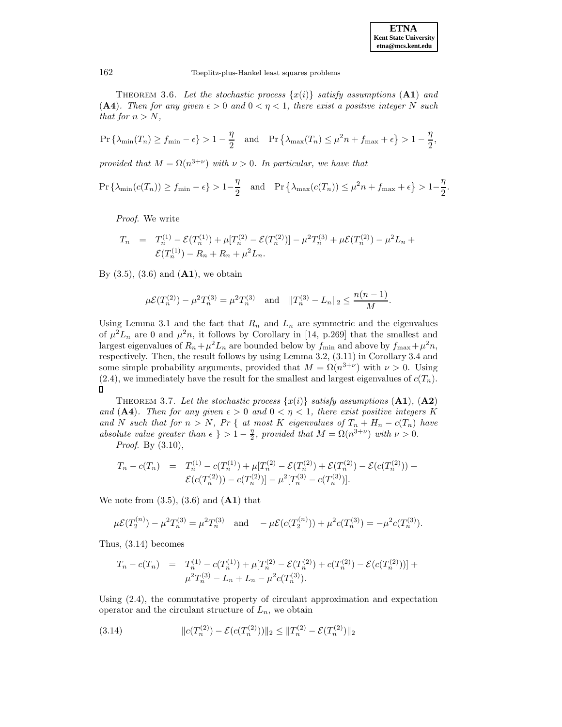**ETNA Kent State University etna@mcs.kent.edu**

162 Toeplitz-plus-Hankel least squares problems

THEOREM 3.6. Let the stochastic process  $\{x(i)\}\$  satisfy assumptions  $(A1)$  and (A4). Then for any given  $\epsilon > 0$  and  $0 < \eta < 1$ , there exist a positive integer N such that for  $n>N$ ,

$$
\Pr\left\{\lambda_{\min}(T_n) \ge f_{\min} - \epsilon\right\} > 1 - \frac{\eta}{2} \quad \text{and} \quad \Pr\left\{\lambda_{\max}(T_n) \le \mu^2 n + f_{\max} + \epsilon\right\} > 1 - \frac{\eta}{2},
$$

provided that  $M = \Omega(n^{3+\nu})$  with  $\nu > 0$ . In particular, we have that

$$
\Pr\left\{\lambda_{\min}(c(T_n)) \ge f_{\min} - \epsilon\right\} > 1 - \frac{\eta}{2} \quad \text{and} \quad \Pr\left\{\lambda_{\max}(c(T_n)) \le \mu^2 n + f_{\max} + \epsilon\right\} > 1 - \frac{\eta}{2}.
$$

Proof. We write

$$
T_n = T_n^{(1)} - \mathcal{E}(T_n^{(1)}) + \mu[T_n^{(2)} - \mathcal{E}(T_n^{(2)})] - \mu^2 T_n^{(3)} + \mu \mathcal{E}(T_n^{(2)}) - \mu^2 L_n + \mathcal{E}(T_n^{(1)}) - R_n + R_n + \mu^2 L_n.
$$

By (3.5), (3.6) and (**A1**), we obtain

$$
\mu \mathcal{E}(T_n^{(2)}) - \mu^2 T_n^{(3)} = \mu^2 T_n^{(3)} \quad \text{and} \quad ||T_n^{(3)} - L_n||_2 \le \frac{n(n-1)}{M}.
$$

Using Lemma 3.1 and the fact that  $R_n$  and  $L_n$  are symmetric and the eigenvalues of  $\mu^2 L_n$  are 0 and  $\mu^2 n$ , it follows by Corollary in [14, p.269] that the smallest and largest eigenvalues of  $R_n+\mu^2L_n$  are bounded below by  $f_{\min}$  and above by  $f_{\max}+\mu^2n$ , respectively. Then, the result follows by using Lemma 3.2, (3.11) in Corollary 3.4 and some simple probability arguments, provided that  $M = \Omega(n^{3+\nu})$  with  $\nu > 0$ . Using  $(2.4)$ , we immediately have the result for the smallest and largest eigenvalues of  $c(T_n)$ .  $\Box$ 

THEOREM 3.7. Let the stochastic process  $\{x(i)\}\$  satisfy assumptions  $(A1)$ ,  $(A2)$ and (A4). Then for any given  $\epsilon > 0$  and  $0 < \eta < 1$ , there exist positive integers K and N such that for  $n>N$ , Pr { at most K eigenvalues of  $T_n + H_n - c(T_n)$  have absolute value greater than  $\epsilon$  } > 1 –  $\frac{\eta}{2}$ , provided that  $M = \Omega(n^{3+\nu})$  with  $\nu > 0$ .

Proof. By  $(3.10)$ ,

$$
T_n - c(T_n) = T_n^{(1)} - c(T_n^{(1)}) + \mu[T_n^{(2)} - \mathcal{E}(T_n^{(2)}) + \mathcal{E}(T_n^{(2)}) - \mathcal{E}(c(T_n^{(2)})) + \mathcal{E}(c(T_n^{(2)})) - c(T_n^{(2)}) - \mu^2[T_n^{(3)} - c(T_n^{(3)})].
$$

We note from (3.5), (3.6) and (**A1**) that

$$
\mu \mathcal{E}(T_2^{(n)}) - \mu^2 T_n^{(3)} = \mu^2 T_n^{(3)} \quad \text{and} \quad -\mu \mathcal{E}(c(T_2^{(n)})) + \mu^2 c(T_n^{(3)}) = -\mu^2 c(T_n^{(3)}).
$$

Thus, (3.14) becomes

$$
T_n - c(T_n) = T_n^{(1)} - c(T_n^{(1)}) + \mu[T_n^{(2)} - \mathcal{E}(T_n^{(2)}) + c(T_n^{(2)}) - \mathcal{E}(c(T_n^{(2)})) + \mu^2 T_n^{(3)} - L_n + L_n - \mu^2 c(T_n^{(3)}).
$$

Using (2.4), the commutative property of circulant approximation and expectation operator and the circulant structure of  $L_n$ , we obtain

(3.14) 
$$
||c(T_n^{(2)}) - \mathcal{E}(c(T_n^{(2)}))||_2 \le ||T_n^{(2)} - \mathcal{E}(T_n^{(2)})||_2
$$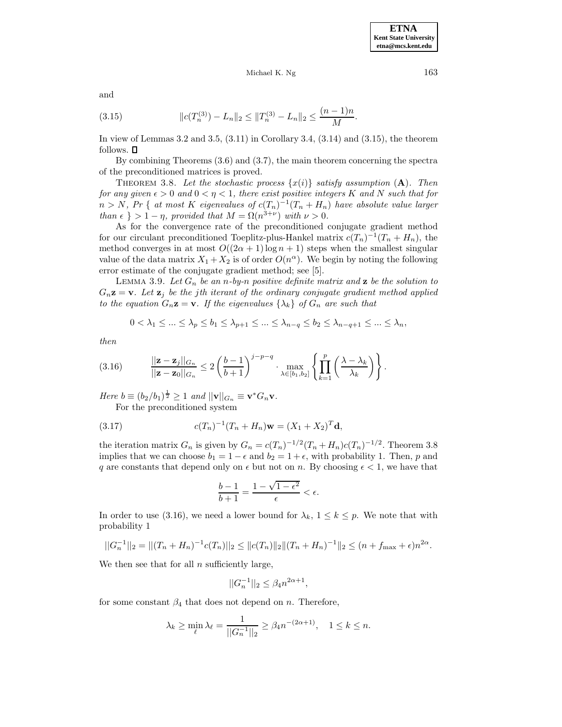and

(3.15) 
$$
\|c(T_n^{(3)}) - L_n\|_2 \le \|T_n^{(3)} - L_n\|_2 \le \frac{(n-1)n}{M}.
$$

In view of Lemmas 3.2 and 3.5,  $(3.11)$  in Corollary 3.4,  $(3.14)$  and  $(3.15)$ , the theorem follows.  $\square$ 

By combining Theorems (3.6) and (3.7), the main theorem concerning the spectra of the preconditioned matrices is proved.

THEOREM 3.8. Let the stochastic process  $\{x(i)\}$  satisfy assumption  $(A)$ . Then for any given  $\epsilon > 0$  and  $0 < \eta < 1$ , there exist positive integers K and N such that for  $n>N$ , Pr { at most K eigenvalues of  $c(T_n)^{-1}(T_n + H_n)$  have absolute value larger than  $\epsilon$  } > 1 – η, provided that  $M = \Omega(n^{3+\nu})$  with  $\nu > 0$ .

As for the convergence rate of the preconditioned conjugate gradient method for our circulant preconditioned Toeplitz-plus-Hankel matrix  $c(T_n)^{-1}(T_n + H_n)$ , the method converges in at most  $O((2\alpha + 1)\log n + 1)$  steps when the smallest singular value of the data matrix  $X_1 + X_2$  is of order  $O(n^{\alpha})$ . We begin by noting the following error estimate of the conjugate gradient method; see [5].

LEMMA 3.9. Let  $G_n$  be an n-by-n positive definite matrix and **z** be the solution to  $G_n$ **z** = **v**. Let **z**<sub>j</sub> be the jth iterant of the ordinary conjugate gradient method applied to the equation  $G_n \mathbf{z} = \mathbf{v}$ . If the eigenvalues  $\{\lambda_k\}$  of  $G_n$  are such that

$$
0 < \lambda_1 \leq \ldots \leq \lambda_p \leq b_1 \leq \lambda_{p+1} \leq \ldots \leq \lambda_{n-q} \leq b_2 \leq \lambda_{n-q+1} \leq \ldots \leq \lambda_n,
$$

then

$$
(3.16) \qquad \frac{||\mathbf{z}-\mathbf{z}_j||_{G_n}}{||\mathbf{z}-\mathbf{z}_0||_{G_n}} \leq 2\left(\frac{b-1}{b+1}\right)^{j-p-q} \cdot \max_{\lambda \in [b_1,b_2]} \left\{\prod_{k=1}^p \left(\frac{\lambda-\lambda_k}{\lambda_k}\right)\right\}.
$$

Here  $b \equiv (b_2/b_1)^{\frac{1}{2}} \geq 1$  and  $||\mathbf{v}||_{G_n} \equiv \mathbf{v}^* G_n \mathbf{v}$ . For the preconditioned system

(3.17) 
$$
c(T_n)^{-1}(T_n + H_n)\mathbf{w} = (X_1 + X_2)^T \mathbf{d},
$$

the iteration matrix  $G_n$  is given by  $G_n = c(T_n)^{-1/2}(T_n + H_n)c(T_n)^{-1/2}$ . Theorem 3.8 implies that we can choose  $b_1 = 1 - \epsilon$  and  $b_2 = 1 + \epsilon$ , with probability 1. Then, p and q are constants that depend only on  $\epsilon$  but not on n. By choosing  $\epsilon < 1$ , we have that

$$
\frac{b-1}{b+1} = \frac{1 - \sqrt{1 - \epsilon^2}}{\epsilon} < \epsilon.
$$

In order to use (3.16), we need a lower bound for  $\lambda_k$ ,  $1 \leq k \leq p$ . We note that with probability 1

$$
||G_n^{-1}||_2 = ||(T_n + H_n)^{-1}c(T_n)||_2 \le ||c(T_n)||_2 ||(T_n + H_n)^{-1}||_2 \le (n + f_{\max} + \epsilon)n^{2\alpha}.
$$

We then see that for all  $n$  sufficiently large,

$$
||G_n^{-1}||_2 \leq \beta_4 n^{2\alpha + 1},
$$

for some constant  $\beta_4$  that does not depend on n. Therefore,

$$
\lambda_k \ge \min_{\ell} \lambda_{\ell} = \frac{1}{||G_n^{-1}||_2} \ge \beta_4 n^{-(2\alpha+1)}, \quad 1 \le k \le n.
$$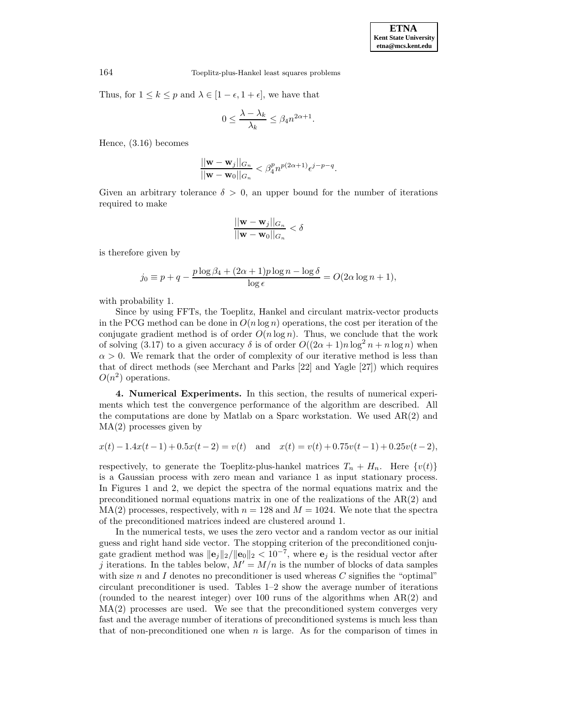Thus, for  $1 \leq k \leq p$  and  $\lambda \in [1 - \epsilon, 1 + \epsilon]$ , we have that

$$
0 \le \frac{\lambda - \lambda_k}{\lambda_k} \le \beta_4 n^{2\alpha + 1}.
$$

Hence, (3.16) becomes

$$
\frac{||\mathbf{w}-\mathbf{w}_j||_{G_n}}{||\mathbf{w}-\mathbf{w}_0||_{G_n}} < \beta_4^p n^{p(2\alpha+1)} \epsilon^{j-p-q}.
$$

Given an arbitrary tolerance  $\delta > 0$ , an upper bound for the number of iterations required to make

$$
\frac{||\mathbf{w} - \mathbf{w}_j||_{G_n}}{||\mathbf{w} - \mathbf{w}_0||_{G_n}} < \delta
$$

is therefore given by

$$
j_0 \equiv p + q - \frac{p \log \beta_4 + (2\alpha + 1)p \log n - \log \delta}{\log \epsilon} = O(2\alpha \log n + 1),
$$

with probability 1.

Since by using FFTs, the Toeplitz, Hankel and circulant matrix-vector products in the PCG method can be done in  $O(n \log n)$  operations, the cost per iteration of the conjugate gradient method is of order  $O(n \log n)$ . Thus, we conclude that the work of solving (3.17) to a given accuracy  $\delta$  is of order  $O((2\alpha+1)n\log^2 n + n\log n)$  when  $\alpha > 0$ . We remark that the order of complexity of our iterative method is less than that of direct methods (see Merchant and Parks [22] and Yagle [27]) which requires  $O(n^2)$  operations.

**4. Numerical Experiments.** In this section, the results of numerical experiments which test the convergence performance of the algorithm are described. All the computations are done by Matlab on a Sparc workstation. We used AR(2) and MA(2) processes given by

$$
x(t) - 1.4x(t-1) + 0.5x(t-2) = v(t)
$$
 and  $x(t) = v(t) + 0.75v(t-1) + 0.25v(t-2)$ ,

respectively, to generate the Toeplitz-plus-hankel matrices  $T_n + H_n$ . Here  $\{v(t)\}\$ is a Gaussian process with zero mean and variance 1 as input stationary process. In Figures 1 and 2, we depict the spectra of the normal equations matrix and the preconditioned normal equations matrix in one of the realizations of the  $AR(2)$  and  $MA(2)$  processes, respectively, with  $n = 128$  and  $M = 1024$ . We note that the spectra of the preconditioned matrices indeed are clustered around 1.

In the numerical tests, we uses the zero vector and a random vector as our initial guess and right hand side vector. The stopping criterion of the preconditioned conjugate gradient method was  $\|\mathbf{e}_j\|_2/\|\mathbf{e}_0\|_2 < 10^{-7}$ , where  $\mathbf{e}_j$  is the residual vector after j iterations. In the tables below,  $M' = M/n$  is the number of blocks of data samples with size n and I denotes no preconditioner is used whereas  $C$  signifies the "optimal" circulant preconditioner is used. Tables 1–2 show the average number of iterations (rounded to the nearest integer) over 100 runs of the algorithms when AR(2) and MA(2) processes are used. We see that the preconditioned system converges very fast and the average number of iterations of preconditioned systems is much less than that of non-preconditioned one when  $n$  is large. As for the comparison of times in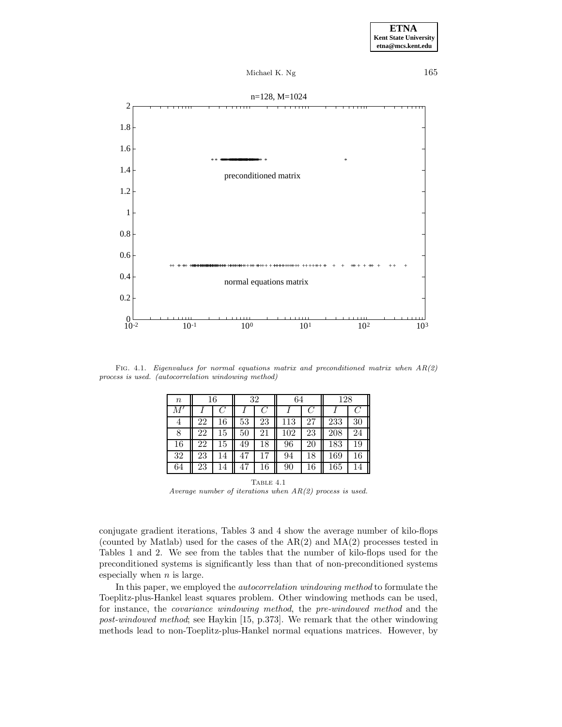



FIG. 4.1. Eigenvalues for normal equations matrix and preconditioned matrix when  $AR(2)$ process is used. (autocorrelation windowing method)

| $\it n$    | 16 |    | 32 |    | 64  |    | 128 |    |
|------------|----|----|----|----|-----|----|-----|----|
| $M^\prime$ |    |    |    |    |     |    |     |    |
| 4          | 22 | 16 | 53 | 23 | 113 | 27 | 233 | 30 |
| 8          | 22 | 15 | 50 | 21 | 102 | 23 | 208 | 24 |
| 16         | 22 | 15 | 49 | 18 | 96  | 20 | 183 | 19 |
| 32         | 23 | 14 | 47 |    | 94  | 18 | 169 | 16 |
| 64         | 23 | 14 |    | 16 | 90  | 16 | 165 |    |

TABLE  $4.1$ Average number of iterations when AR(2) process is used.

conjugate gradient iterations, Tables 3 and 4 show the average number of kilo-flops (counted by Matlab) used for the cases of the AR(2) and MA(2) processes tested in Tables 1 and 2. We see from the tables that the number of kilo-flops used for the preconditioned systems is significantly less than that of non-preconditioned systems especially when  $n$  is large.

In this paper, we employed the autocorrelation windowing method to formulate the Toeplitz-plus-Hankel least squares problem. Other windowing methods can be used, for instance, the covariance windowing method, the pre-windowed method and the post-windowed method; see Haykin [15, p.373]. We remark that the other windowing methods lead to non-Toeplitz-plus-Hankel normal equations matrices. However, by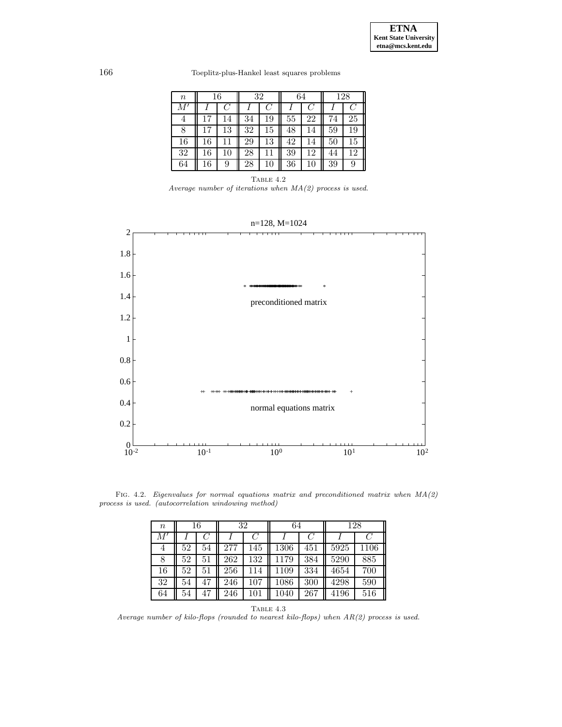166 Toeplitz-plus-Hankel least squares problems

| $\it{n}$   | 16 |    | 32 |        | 64 |    | 128 |    |
|------------|----|----|----|--------|----|----|-----|----|
| $M^\prime$ |    |    |    |        |    |    |     |    |
| 4          |    | 14 | 34 | 19     | 55 | 22 | 74  | 25 |
|            |    | 13 | 32 | 15     | 48 | 14 | 59  | 19 |
| 16         | 16 |    | 29 | 13     | 42 | 14 | 50  | 15 |
| 32         | 16 | 10 | 28 | 11     | 39 | 12 | 44  | 12 |
| 64         | 16 | 9  | 28 | $10\,$ | 36 |    | 39  |    |

TABLE  $4.2$ Average number of iterations when  $MA(2)$  process is used.



Fig. 4.2. Eigenvalues for normal equations matrix and preconditioned matrix when MA(2) process is used. (autocorrelation windowing method)

| $\it{n}$   | 16 |    | 32  |         | 64   |     | 128  |      |
|------------|----|----|-----|---------|------|-----|------|------|
| $M^\prime$ |    |    |     |         |      |     |      | C    |
| 4          | 52 | 54 | 277 | 145     | 1306 | 451 | 5925 | 1106 |
| 8          | 52 | 51 | 262 | 132     | 1179 | 384 | 5290 | 885  |
| 16         | 52 | 51 | 256 | 114     | 1109 | 334 | 4654 | 700  |
| 32         | 54 | 47 | 246 | $107\,$ | 1086 | 300 | 4298 | 590  |
| 64         | 54 | 47 | 246 | 101     | 1040 | 267 | 4196 | 516  |



Average number of kilo-flops (rounded to nearest kilo-flops) when AR(2) process is used.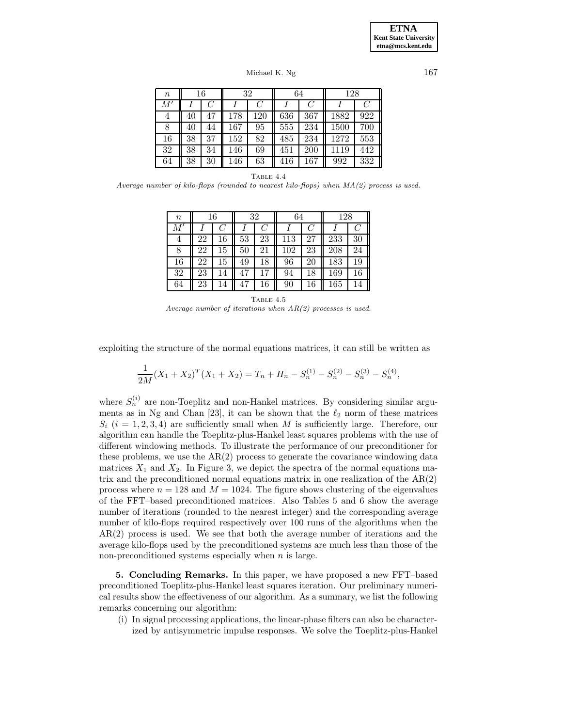Michael K. Ng 167

| $\it n$   | 16 |    | 32  |     | 64  |                  | 128      |         |
|-----------|----|----|-----|-----|-----|------------------|----------|---------|
| $M^\cdot$ |    |    |     |     |     | ( )              |          |         |
| 4         | 40 |    | 178 | 120 | 636 | 367              | 1882     | 922     |
| 8         | 40 | 44 | 167 | 95  | 555 | $2\overline{34}$ | $1500\,$ | $700\,$ |
| 16        | 38 | 37 | 152 | 82  | 485 | 234              | 1272     | 553     |
| 32        | 38 | 34 | 146 | 69  | 451 | 200              | 1119     | 442     |
| 64        | 38 | 30 | 146 | 63  | 416 | 167              | 992      | 332     |

TABLE  $4.4$ 

Average number of kilo-flops (rounded to nearest kilo-flops) when MA(2) process is used.

| $\it n$    | 16 |            | 32 |    | 64  |               | 128 |    |
|------------|----|------------|----|----|-----|---------------|-----|----|
| $M^\prime$ |    | $\epsilon$ |    |    |     | $\mathcal{C}$ |     |    |
| 4          | 22 | 16         | 53 | 23 | 113 | 27            | 233 | 30 |
| 8          | 22 | 15         | 50 | 21 | 102 | 23            | 208 | 24 |
| 16         | 22 | 15         | 49 | 18 | 96  | 20            | 183 | 19 |
| 32         | 23 | 14         | 47 | 17 | 94  | 18            | 169 | 16 |
| 64         | 23 | 14         | 47 | 16 | 90  | 16            | 165 |    |

TABLE  $4.5$ Average number of iterations when  $AR(2)$  processes is used.

exploiting the structure of the normal equations matrices, it can still be written as

$$
\frac{1}{2M}(X_1 + X_2)^T(X_1 + X_2) = T_n + H_n - S_n^{(1)} - S_n^{(2)} - S_n^{(3)} - S_n^{(4)},
$$

where  $S_n^{(i)}$  are non-Toeplitz and non-Hankel matrices. By considering similar arguments as in Ng and Chan [23], it can be shown that the  $\ell_2$  norm of these matrices  $S_i$  (i = 1, 2, 3, 4) are sufficiently small when M is sufficiently large. Therefore, our algorithm can handle the Toeplitz-plus-Hankel least squares problems with the use of different windowing methods. To illustrate the performance of our preconditioner for these problems, we use the  $AR(2)$  process to generate the covariance windowing data matrices  $X_1$  and  $X_2$ . In Figure 3, we depict the spectra of the normal equations matrix and the preconditioned normal equations matrix in one realization of the AR(2) process where  $n = 128$  and  $M = 1024$ . The figure shows clustering of the eigenvalues of the FFT–based preconditioned matrices. Also Tables 5 and 6 show the average number of iterations (rounded to the nearest integer) and the corresponding average number of kilo-flops required respectively over 100 runs of the algorithms when the AR(2) process is used. We see that both the average number of iterations and the average kilo-flops used by the preconditioned systems are much less than those of the non-preconditioned systems especially when  $n$  is large.

**5. Concluding Remarks.** In this paper, we have proposed a new FFT–based preconditioned Toeplitz-plus-Hankel least squares iteration. Our preliminary numerical results show the effectiveness of our algorithm. As a summary, we list the following remarks concerning our algorithm:

(i) In signal processing applications, the linear-phase filters can also be characterized by antisymmetric impulse responses. We solve the Toeplitz-plus-Hankel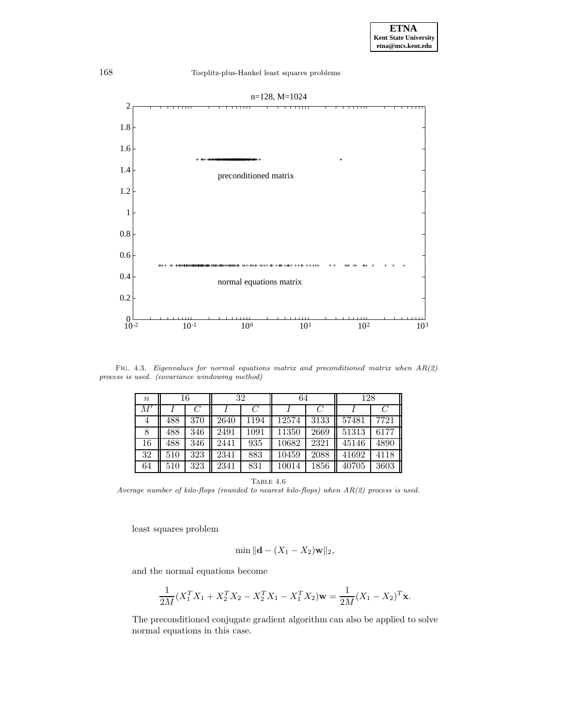

FIG. 4.3. Eigenvalues for normal equations matrix and preconditioned matrix when  $AR(2)$ process is used. (covariance windowing method)

| $\, n$       | 16      |     | 32   |      | 64    |      | 128   |      |
|--------------|---------|-----|------|------|-------|------|-------|------|
| $M^{\prime}$ |         |     |      |      |       |      |       |      |
| 4            | 488     | 370 | 2640 | 1194 | 12574 | 3133 | 57481 | 7721 |
| 8            | 488     | 346 | 2491 | 1091 | 11350 | 2669 | 51313 | 6177 |
| 16           | 488     | 346 | 2441 | 935  | 10682 | 2321 | 45146 | 4890 |
| 32           | $510\,$ | 323 | 2341 | 883  | 10459 | 2088 | 41692 | 4118 |
| 64           | 510     | 323 | 2341 | 831  | 10014 | 1856 | 40705 | 3603 |

TABLE  $4.6\,$ 

Average number of kilo-flops (rounded to nearest kilo-flops) when  $AR(2)$  process is used.

least squares problem

$$
\min ||\mathbf{d} - (X_1 - X_2)\mathbf{w}||_2,
$$

and the normal equations become

$$
\frac{1}{2M}(X_1^T X_1 + X_2^T X_2 - X_2^T X_1 - X_1^T X_2)\mathbf{w} = \frac{1}{2M}(X_1 - X_2)^T \mathbf{x}.
$$

The preconditioned conjugate gradient algorithm can also be applied to solve normal equations in this case.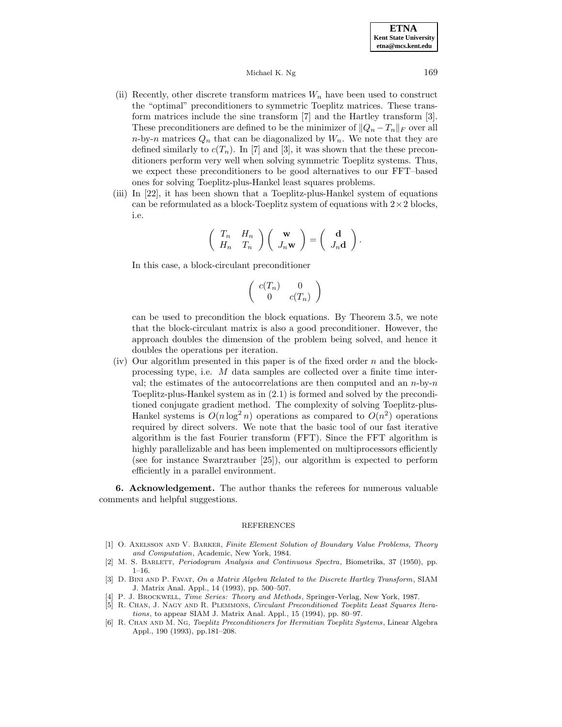- (ii) Recently, other discrete transform matrices  $W_n$  have been used to construct the "optimal" preconditioners to symmetric Toeplitz matrices. These transform matrices include the sine transform [7] and the Hartley transform [3]. These preconditioners are defined to be the minimizer of  $||Q_n - T_n||_F$  over all n-by-n matrices  $Q_n$  that can be diagonalized by  $W_n$ . We note that they are defined similarly to  $c(T_n)$ . In [7] and [3], it was shown that the these preconditioners perform very well when solving symmetric Toeplitz systems. Thus, we expect these preconditioners to be good alternatives to our FFT–based ones for solving Toeplitz-plus-Hankel least squares problems.
- (iii) In [22], it has been shown that a Toeplitz-plus-Hankel system of equations can be reformulated as a block-Toeplitz system of equations with  $2\times 2$  blocks, i.e.

$$
\left(\begin{array}{cc} T_n & H_n \\ H_n & T_n \end{array}\right) \left(\begin{array}{c} \mathbf{w} \\ J_n \mathbf{w} \end{array}\right) = \left(\begin{array}{c} \mathbf{d} \\ J_n \mathbf{d} \end{array}\right).
$$

In this case, a block-circulant preconditioner

$$
\left(\begin{array}{cc} c(T_n) & 0\\ 0 & c(T_n) \end{array}\right)
$$

can be used to precondition the block equations. By Theorem 3.5, we note that the block-circulant matrix is also a good preconditioner. However, the approach doubles the dimension of the problem being solved, and hence it doubles the operations per iteration.

(iv) Our algorithm presented in this paper is of the fixed order  $n$  and the blockprocessing type, i.e. M data samples are collected over a finite time interval; the estimates of the autocorrelations are then computed and an  $n$ -by- $n$ Toeplitz-plus-Hankel system as in (2.1) is formed and solved by the preconditioned conjugate gradient method. The complexity of solving Toeplitz-plus-Hankel systems is  $O(n \log^2 n)$  operations as compared to  $O(n^2)$  operations required by direct solvers. We note that the basic tool of our fast iterative algorithm is the fast Fourier transform (FFT). Since the FFT algorithm is highly parallelizable and has been implemented on multiprocessors efficiently (see for instance Swarztrauber [25]), our algorithm is expected to perform efficiently in a parallel environment.

**6. Acknowledgement.** The author thanks the referees for numerous valuable comments and helpful suggestions.

#### REFERENCES

- [1] O. AXELSSON AND V. BARKER, Finite Element Solution of Boundary Value Problems, Theory and Computation, Academic, New York, 1984.
- [2] M. S. Barlett, Periodogram Analysis and Continuous Spectra, Biometrika, 37 (1950), pp.  $1 - 16$ .
- [3] D. Bini and P. Favat, On a Matrix Algebra Related to the Discrete Hartley Transform, SIAM J. Matrix Anal. Appl., 14 (1993), pp. 500–507.
- [4] P. J. Brockwell, Time Series: Theory and Methods, Springer-Verlag, New York, 1987.
- [5] R. Chan, J. Nagy and R. Plemmons, Circulant Preconditioned Toeplitz Least Squares Iterations, to appear SIAM J. Matrix Anal. Appl., 15 (1994), pp. 80–97.
- [6] R. Chan and M. Ng, Toeplitz Preconditioners for Hermitian Toeplitz Systems, Linear Algebra Appl., 190 (1993), pp.181–208.